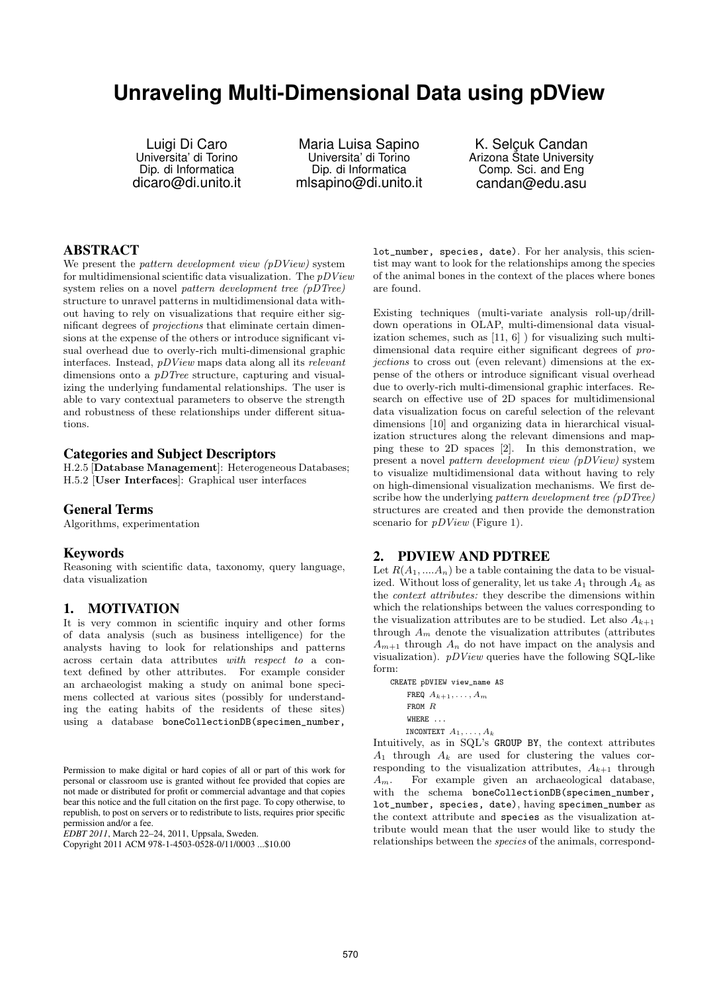# **Unraveling Multi-Dimensional Data using pDView**

Luigi Di Caro Universita' di Torino Dip. di Informatica dicaro@di.unito.it

Maria Luisa Sapino Universita' di Torino Dip. di Informatica mlsapino@di.unito.it

K. Selçuk Candan Arizona State University Comp. Sci. and Eng candan@edu.asu

# **ABSTRACT**

We present the *pattern development view* (*pDView*) system for multidimensional scientific data visualization. The  $pDView$ system relies on a novel pattern development tree (pDTree) structure to unravel patterns in multidimensional data without having to rely on visualizations that require either significant degrees of projections that eliminate certain dimensions at the expense of the others or introduce significant visual overhead due to overly-rich multi-dimensional graphic interfaces. Instead, pDView maps data along all its relevant dimensions onto a pDTree structure, capturing and visualizing the underlying fundamental relationships. The user is able to vary contextual parameters to observe the strength and robustness of these relationships under different situations.

#### **Categories and Subject Descriptors**

H.2.5 [Database Management]: Heterogeneous Databases; H.5.2 [User Interfaces]: Graphical user interfaces

## **General Terms**

Algorithms, experimentation

# **Keywords**

Reasoning with scientific data, taxonomy, query language, data visualization

# **1. MOTIVATION**

It is very common in scientific inquiry and other forms of data analysis (such as business intelligence) for the analysts having to look for relationships and patterns across certain data attributes with respect to a context defined by other attributes. For example consider an archaeologist making a study on animal bone specimens collected at various sites (possibly for understanding the eating habits of the residents of these sites) using a database boneCollectionDB(specimen\_number,

*EDBT 2011*, March 22–24, 2011, Uppsala, Sweden.

lot\_number, species, date). For her analysis, this scientist may want to look for the relationships among the species of the animal bones in the context of the places where bones are found.

Existing techniques (multi-variate analysis roll-up/drilldown operations in OLAP, multi-dimensional data visualization schemes, such as [11, 6] ) for visualizing such multidimensional data require either significant degrees of projections to cross out (even relevant) dimensions at the expense of the others or introduce significant visual overhead due to overly-rich multi-dimensional graphic interfaces. Research on effective use of 2D spaces for multidimensional data visualization focus on careful selection of the relevant dimensions [10] and organizing data in hierarchical visualization structures along the relevant dimensions and mapping these to 2D spaces [2]. In this demonstration, we present a novel pattern development view (pDView) system to visualize multidimensional data without having to rely on high-dimensional visualization mechanisms. We first describe how the underlying *pattern development tree (pDTree)* structures are created and then provide the demonstration scenario for  $pDView$  (Figure 1).

### **2. PDVIEW AND PDTREE**

Let  $R(A_1, ..., A_n)$  be a table containing the data to be visualized. Without loss of generality, let us take  $A_1$  through  $A_k$  as the context attributes: they describe the dimensions within which the relationships between the values corresponding to the visualization attributes are to be studied. Let also  $A_{k+1}$ through  $A_m$  denote the visualization attributes (attributes  $A_{m+1}$  through  $A_n$  do not have impact on the analysis and visualization).  $pDView$  queries have the following SQL-like form:

```
CREATE pDVIEW view_name AS
 FREQ A_{k+1}, \ldots, A_mFROM R
 WHERE ...
INCONTEXT A_1, \ldots, A_k
```
Intuitively, as in SQL's GROUP BY, the context attributes  $A_1$  through  $A_k$  are used for clustering the values corresponding to the visualization attributes,  $A_{k+1}$  through  $A_m$ . For example given an archaeological database, with the schema boneCollectionDB(specimen\_number, lot\_number, species, date), having specimen\_number as the context attribute and species as the visualization attribute would mean that the user would like to study the relationships between the species of the animals, correspond-

Permission to make digital or hard copies of all or part of this work for personal or classroom use is granted without fee provided that copies are not made or distributed for profit or commercial advantage and that copies bear this notice and the full citation on the first page. To copy otherwise, to republish, to post on servers or to redistribute to lists, requires prior specific permission and/or a fee.

Copyright 2011 ACM 978-1-4503-0528-0/11/0003 ...\$10.00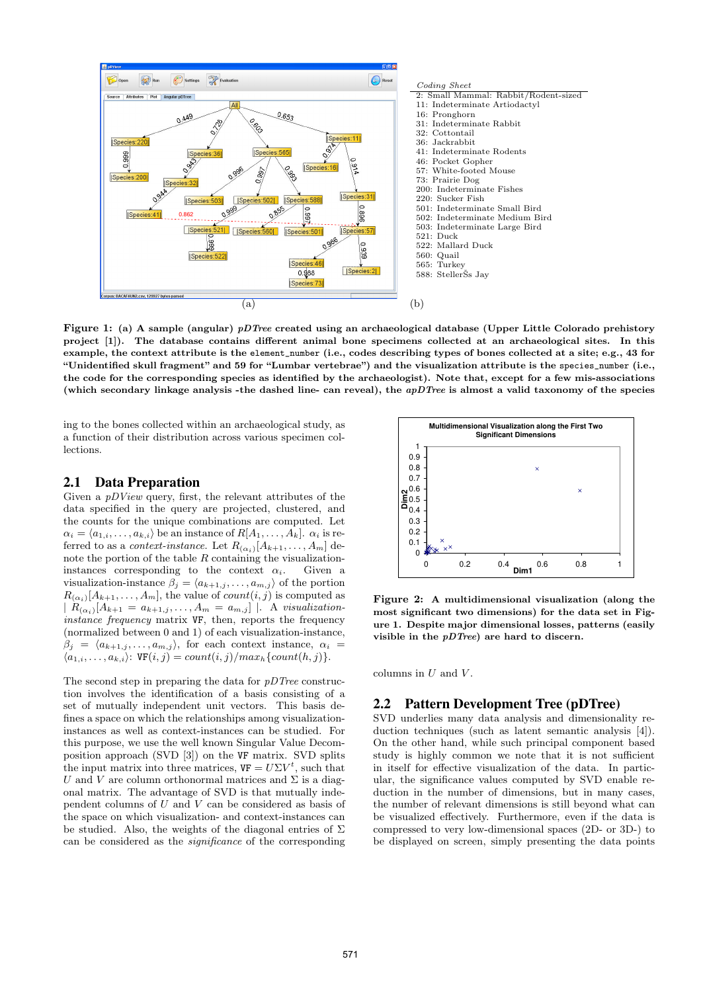

Figure 1: (a) A sample (angular) *pDTree* created using an archaeological database (Upper Little Colorado prehistory project [1]). The database contains different animal bone specimens collected at an archaeological sites. In this example, the context attribute is the element\_number (i.e., codes describing types of bones collected at a site; e.g., 43 for "Unidentified skull fragment" and 59 for "Lumbar vertebrae") and the visualization attribute is the species\_number (i.e., the code for the corresponding species as identified by the archaeologist). Note that, except for a few mis-associations (which secondary linkage analysis -the dashed line- can reveal), the  $apDTree$  is almost a valid taxonomy of the species

ing to the bones collected within an archaeological study, as a function of their distribution across various specimen collections.

### **2.1 Data Preparation**

Given a  $pDView$  query, first, the relevant attributes of the data specified in the query are projected, clustered, and the counts for the unique combinations are computed. Let  $\alpha_i = \langle a_{1,i}, \ldots, a_{k,i} \rangle$  be an instance of  $R[A_1, \ldots, A_k]$ .  $\alpha_i$  is referred to as a *context-instance*. Let  $R_{(\alpha_i)}[A_{k+1}, \ldots, A_m]$  denote the portion of the table  $R$  containing the visualizationinstances corresponding to the context  $\alpha_i$ . Given a visualization-instance  $\beta_j = \langle a_{k+1,j}, \ldots, a_{m,j} \rangle$  of the portion  $R_{(\alpha_i)}[A_{k+1}, \ldots, A_m]$ , the value of  $count(i, j)$  is computed as  $|R_{(\alpha_i)}[A_{k+1} = a_{k+1,j}, \ldots, A_m = a_{m,j}]|$ . A visualizationinstance frequency matrix VF, then, reports the frequency (normalized between 0 and 1) of each visualization-instance,  $\beta_j = \langle a_{k+1,j} , \ldots , a_{m,j} \rangle$ , for each context instance,  $\alpha_i =$  $\langle a_{1,i}, \ldots, a_{k,i} \rangle$ :  $\texttt{VF}(i, j) = count(i, j) / max_h \{count(h, j)\}.$ 

The second step in preparing the data for  $pDTree$  construction involves the identification of a basis consisting of a set of mutually independent unit vectors. This basis defines a space on which the relationships among visualizationinstances as well as context-instances can be studied. For this purpose, we use the well known Singular Value Decomposition approach (SVD [3]) on the VF matrix. SVD splits the input matrix into three matrices,  $VF = U\Sigma V^t$ , such that U and V are column orthonormal matrices and  $\Sigma$  is a diagonal matrix. The advantage of SVD is that mutually independent columns of  $U$  and  $V$  can be considered as basis of the space on which visualization- and context-instances can be studied. Also, the weights of the diagonal entries of  $\Sigma$ can be considered as the significance of the corresponding



Figure 2: A multidimensional visualization (along the most significant two dimensions) for the data set in Figure 1. Despite major dimensional losses, patterns (easily visible in the  $pDTree$  are hard to discern.

columns in  $U$  and  $V$ .

#### **2.2 Pattern Development Tree (pDTree)**

SVD underlies many data analysis and dimensionality reduction techniques (such as latent semantic analysis [4]). On the other hand, while such principal component based study is highly common we note that it is not sufficient in itself for effective visualization of the data. In particular, the significance values computed by SVD enable reduction in the number of dimensions, but in many cases, the number of relevant dimensions is still beyond what can be visualized effectively. Furthermore, even if the data is compressed to very low-dimensional spaces (2D- or 3D-) to be displayed on screen, simply presenting the data points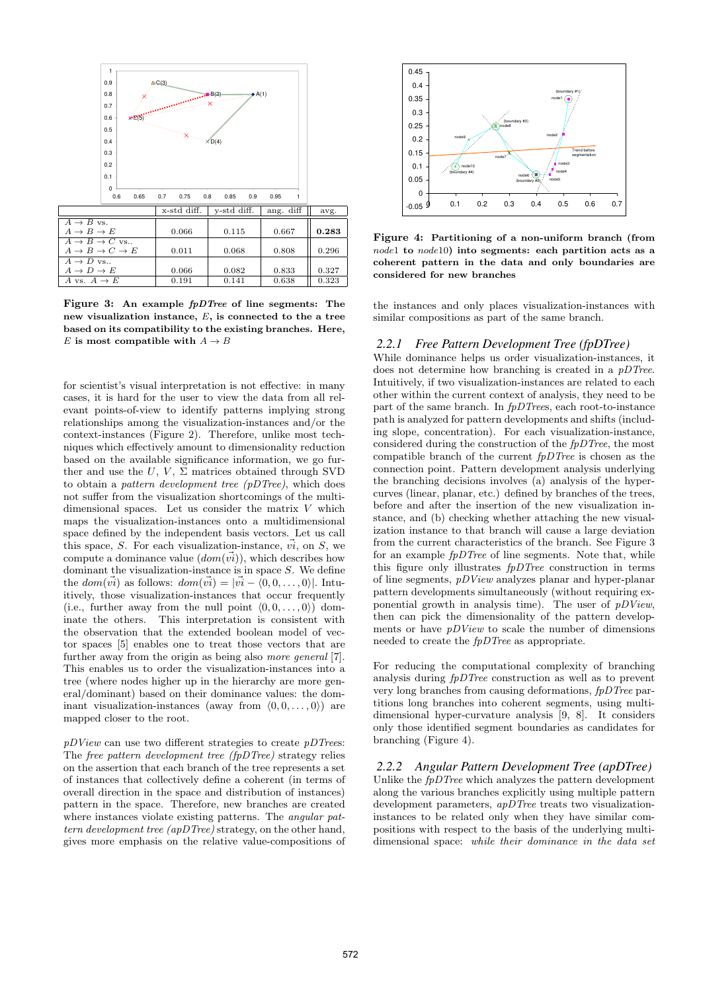

Figure 3: An example fpDTree of line segments: The new visualization instance,  $E$ , is connected to the a tree based on its compatibility to the existing branches. Here, E is most compatible with  $A \rightarrow B$ 

for scientist's visual interpretation is not effective: in many cases, it is hard for the user to view the data from all relevant points-of-view to identify patterns implying strong relationships among the visualization-instances and/or the context-instances (Figure 2). Therefore, unlike most techniques which effectively amount to dimensionality reduction based on the available significance information, we go further and use the  $U, V, \Sigma$  matrices obtained through SVD to obtain a pattern development tree  $(pDTree)$ , which does not suffer from the visualization shortcomings of the multidimensional spaces. Let us consider the matrix  $V$  which maps the visualization-instances onto a multidimensional space defined by the independent basis vectors. Let us call this space, S. For each visualization-instance,  $\vec{vi}$ , on S, we compute a dominance value  $(dom(v_i)),$  which describes how dominant the visualization-instance is in space  $S$ . We define the  $dom(\vec{vi})$  as follows:  $dom(\vec{vi}) = |\vec{vi} - \langle 0, 0, \ldots, 0 \rangle|$ . Intuitively, those visualization-instances that occur frequently (i.e., further away from the null point  $(0, 0, \ldots, 0)$ ) dominate the others. This interpretation is consistent with the observation that the extended boolean model of vector spaces [5] enables one to treat those vectors that are further away from the origin as being also *more general* [7]. This enables us to order the visualization-instances into a tree (where nodes higher up in the hierarchy are more general/dominant) based on their dominance values: the dominant visualization-instances (away from  $(0, 0, \ldots, 0)$ ) are mapped closer to the root.

 $pDView$  can use two different strategies to create  $pDTrees$ : The free pattern development tree (fpDTree) strategy relies on the assertion that each branch of the tree represents a set of instances that collectively define a coherent (in terms of overall direction in the space and distribution of instances) pattern in the space. Therefore, new branches are created where instances violate existing patterns. The angular pattern development tree (apDTree) strategy, on the other hand, gives more emphasis on the relative value-compositions of



Figure 4: Partitioning of a non-uniform branch (from node1 to node10) into segments: each partition acts as a coherent pattern in the data and only boundaries are considered for new branches

the instances and only places visualization-instances with similar compositions as part of the same branch.

#### *2.2.1 Free Pattern Development Tree (fpDTree)*

While dominance helps us order visualization-instances, it does not determine how branching is created in a *pDTree*. Intuitively, if two visualization-instances are related to each other within the current context of analysis, they need to be part of the same branch. In fpDTrees, each root-to-instance path is analyzed for pattern developments and shifts (including slope, concentration). For each visualization-instance, considered during the construction of the fpDTree, the most compatible branch of the current  $fpDTree$  is chosen as the connection point. Pattern development analysis underlying the branching decisions involves (a) analysis of the hypercurves (linear, planar, etc.) defined by branches of the trees, before and after the insertion of the new visualization instance, and (b) checking whether attaching the new visualization instance to that branch will cause a large deviation from the current characteristics of the branch. See Figure 3 for an example *fpDTree* of line segments. Note that, while this figure only illustrates fpDTree construction in terms of line segments, pDView analyzes planar and hyper-planar pattern developments simultaneously (without requiring exponential growth in analysis time). The user of  $pDView$ , then can pick the dimensionality of the pattern developments or have  $pDView$  to scale the number of dimensions needed to create the *fpDTree* as appropriate.

For reducing the computational complexity of branching analysis during fpDTree construction as well as to prevent very long branches from causing deformations, fpDTree partitions long branches into coherent segments, using multidimensional hyper-curvature analysis [9, 8]. It considers only those identified segment boundaries as candidates for branching (Figure 4).

*2.2.2 Angular Pattern Development Tree (apDTree)* Unlike the  $fpDTree$  which analyzes the pattern development along the various branches explicitly using multiple pattern development parameters, apDTree treats two visualizationinstances to be related only when they have similar compositions with respect to the basis of the underlying multidimensional space: while their dominance in the data set